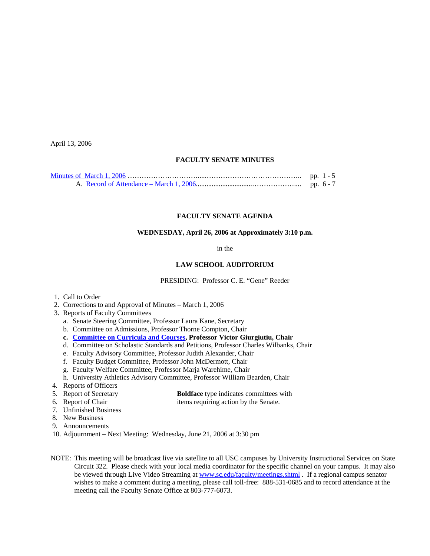April 13, 2006

## **FACULTY SENATE MINUTES**

# **FACULTY SENATE AGENDA**

# **WEDNESDAY, April 26, 2006 at Approximately 3:10 p.m.**

in the

#### **LAW SCHOOL AUDITORIUM**

PRESIDING: Professor C. E. "Gene" Reeder

- 1. Call to Order
- 2. Corrections to and Approval of Minutes March 1, 2006
- 3. Reports of Faculty Committees
	- a. Senate Steering Committee, Professor Laura Kane, Secretary
	- b. Committee on Admissions, Professor Thorne Compton, Chair
	- **c. [Committee on Curricula and Courses](http://www.sc.edu/faculty/senate/06/agenda/0426.cc.pdf), Professor Victor Giurgiutiu, Chair**
	- d. Committee on Scholastic Standards and Petitions, Professor Charles Wilbanks, Chair
	- e. Faculty Advisory Committee, Professor Judith Alexander, Chair
	- f. Faculty Budget Committee, Professor John McDermott, Chair
	- g. Faculty Welfare Committee, Professor Marja Warehime, Chair
	- h. University Athletics Advisory Committee, Professor William Bearden, Chair
- 4. Reports of Officers
- 5. Report of Secretary **Boldface** type indicates committees with
- 
- 6. Report of Chair items requiring action by the Senate.
- 7. Unfinished Business
- 8. New Business
- 9. Announcements
- 10. Adjournment Next Meeting: Wednesday, June 21, 2006 at 3:30 pm
- NOTE: This meeting will be broadcast live via satellite to all USC campuses by University Instructional Services on State Circuit 322. Please check with your local media coordinator for the specific channel on your campus. It may also be viewed through Live Video Streaming at [www.sc.edu/faculty/meetings.shtml](http://www.sc.edu/faculty/meetings.shtml) . If a regional campus senator wishes to make a comment during a meeting, please call toll-free: 888-531-0685 and to record attendance at the meeting call the Faculty Senate Office at 803-777-6073.